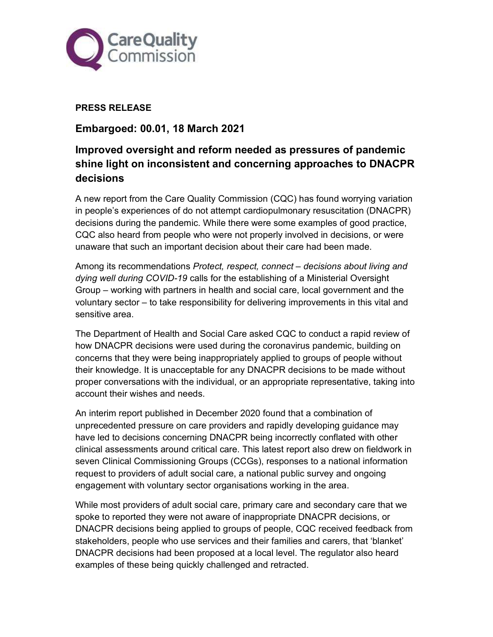

## PRESS RELEASE

Embargoed: 00.01, 18 March 2021

# Improved oversight and reform needed as pressures of pandemic shine light on inconsistent and concerning approaches to DNACPR decisions

A new report from the Care Quality Commission (CQC) has found worrying variation in people's experiences of do not attempt cardiopulmonary resuscitation (DNACPR) decisions during the pandemic. While there were some examples of good practice, CQC also heard from people who were not properly involved in decisions, or were unaware that such an important decision about their care had been made.

Among its recommendations Protect, respect, connect – decisions about living and dying well during COVID-19 calls for the establishing of a Ministerial Oversight Group – working with partners in health and social care, local government and the voluntary sector – to take responsibility for delivering improvements in this vital and sensitive area.

The Department of Health and Social Care asked CQC to conduct a rapid review of how DNACPR decisions were used during the coronavirus pandemic, building on concerns that they were being inappropriately applied to groups of people without their knowledge. It is unacceptable for any DNACPR decisions to be made without proper conversations with the individual, or an appropriate representative, taking into account their wishes and needs.

An interim report published in December 2020 found that a combination of unprecedented pressure on care providers and rapidly developing guidance may have led to decisions concerning DNACPR being incorrectly conflated with other clinical assessments around critical care. This latest report also drew on fieldwork in seven Clinical Commissioning Groups (CCGs), responses to a national information request to providers of adult social care, a national public survey and ongoing engagement with voluntary sector organisations working in the area.

While most providers of adult social care, primary care and secondary care that we spoke to reported they were not aware of inappropriate DNACPR decisions, or DNACPR decisions being applied to groups of people, CQC received feedback from stakeholders, people who use services and their families and carers, that 'blanket' DNACPR decisions had been proposed at a local level. The regulator also heard examples of these being quickly challenged and retracted.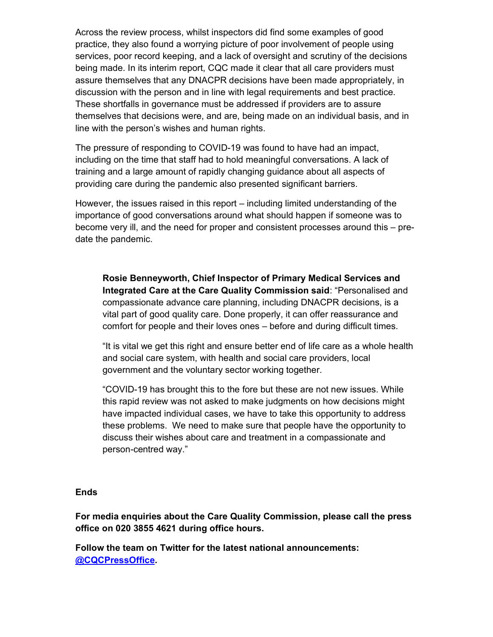Across the review process, whilst inspectors did find some examples of good practice, they also found a worrying picture of poor involvement of people using services, poor record keeping, and a lack of oversight and scrutiny of the decisions being made. In its interim report, CQC made it clear that all care providers must assure themselves that any DNACPR decisions have been made appropriately, in discussion with the person and in line with legal requirements and best practice. These shortfalls in governance must be addressed if providers are to assure themselves that decisions were, and are, being made on an individual basis, and in line with the person's wishes and human rights.

The pressure of responding to COVID-19 was found to have had an impact, including on the time that staff had to hold meaningful conversations. A lack of training and a large amount of rapidly changing guidance about all aspects of providing care during the pandemic also presented significant barriers.

However, the issues raised in this report – including limited understanding of the importance of good conversations around what should happen if someone was to become very ill, and the need for proper and consistent processes around this – predate the pandemic.

Rosie Benneyworth, Chief Inspector of Primary Medical Services and Integrated Care at the Care Quality Commission said: "Personalised and compassionate advance care planning, including DNACPR decisions, is a vital part of good quality care. Done properly, it can offer reassurance and comfort for people and their loves ones – before and during difficult times.

"It is vital we get this right and ensure better end of life care as a whole health and social care system, with health and social care providers, local government and the voluntary sector working together.

"COVID-19 has brought this to the fore but these are not new issues. While this rapid review was not asked to make judgments on how decisions might have impacted individual cases, we have to take this opportunity to address these problems. We need to make sure that people have the opportunity to discuss their wishes about care and treatment in a compassionate and person-centred way."

#### **Ends**

For media enquiries about the Care Quality Commission, please call the press office on 020 3855 4621 during office hours.

Follow the team on Twitter for the latest national announcements: @CQCPressOffice.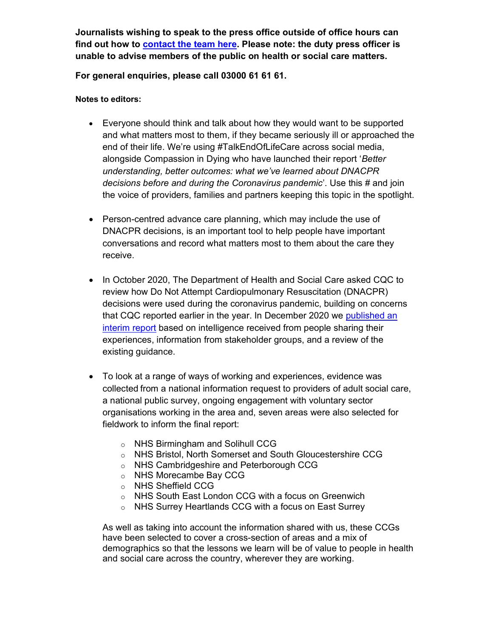Journalists wishing to speak to the press office outside of office hours can find out how to contact the team here. Please note: the duty press officer is unable to advise members of the public on health or social care matters.

### For general enquiries, please call 03000 61 61 61.

#### Notes to editors:

- Everyone should think and talk about how they would want to be supported and what matters most to them, if they became seriously ill or approached the end of their life. We're using #TalkEndOfLifeCare across social media, alongside Compassion in Dying who have launched their report 'Better understanding, better outcomes: what we've learned about DNACPR decisions before and during the Coronavirus pandemic'. Use this # and join the voice of providers, families and partners keeping this topic in the spotlight.
- Person-centred advance care planning, which may include the use of DNACPR decisions, is an important tool to help people have important conversations and record what matters most to them about the care they receive.
- In October 2020, The Department of Health and Social Care asked CQC to review how Do Not Attempt Cardiopulmonary Resuscitation (DNACPR) decisions were used during the coronavirus pandemic, building on concerns that CQC reported earlier in the year. In December 2020 we published an interim report based on intelligence received from people sharing their experiences, information from stakeholder groups, and a review of the existing guidance.
- To look at a range of ways of working and experiences, evidence was collected from a national information request to providers of adult social care, a national public survey, ongoing engagement with voluntary sector organisations working in the area and, seven areas were also selected for fieldwork to inform the final report:
	- o NHS Birmingham and Solihull CCG
	- o NHS Bristol, North Somerset and South Gloucestershire CCG
	- o NHS Cambridgeshire and Peterborough CCG
	- o NHS Morecambe Bay CCG
	- o NHS Sheffield CCG
	- o NHS South East London CCG with a focus on Greenwich
	- o NHS Surrey Heartlands CCG with a focus on East Surrey

As well as taking into account the information shared with us, these CCGs have been selected to cover a cross-section of areas and a mix of demographics so that the lessons we learn will be of value to people in health and social care across the country, wherever they are working.